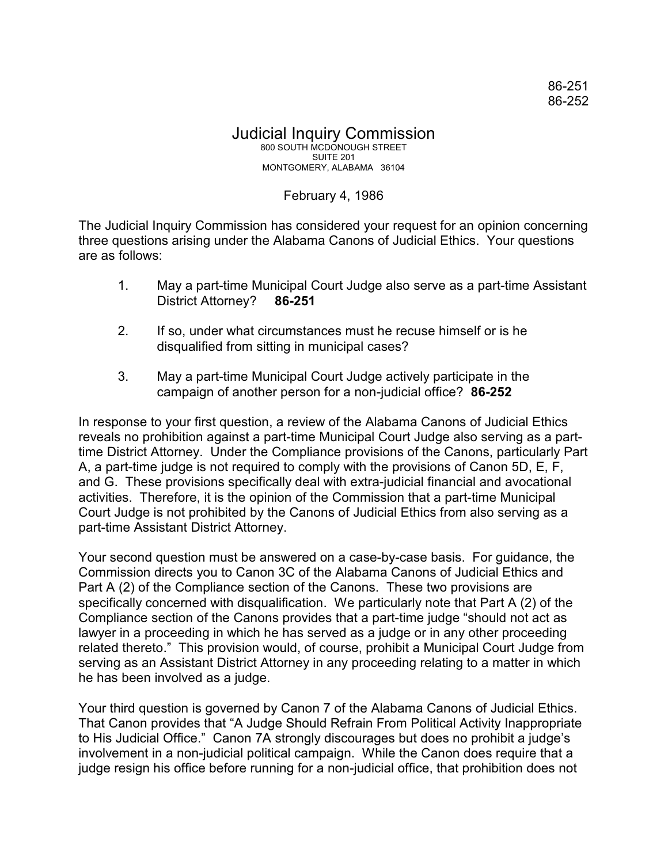## Judicial Inquiry Commission 800 SOUTH MCDONOUGH STREET SUITE 201 MONTGOMERY, ALABAMA 36104

## February 4, 1986

The Judicial Inquiry Commission has considered your request for an opinion concerning three questions arising under the Alabama Canons of Judicial Ethics. Your questions are as follows:

- 1. May a part-time Municipal Court Judge also serve as a part-time Assistant District Attorney? **86-251**
- 2. If so, under what circumstances must he recuse himself or is he disqualified from sitting in municipal cases?
- 3. May a part-time Municipal Court Judge actively participate in the campaign of another person for a non-judicial office? **86-252**

In response to your first question, a review of the Alabama Canons of Judicial Ethics reveals no prohibition against a part-time Municipal Court Judge also serving as a parttime District Attorney. Under the Compliance provisions of the Canons, particularly Part A, a part-time judge is not required to comply with the provisions of Canon 5D, E, F, and G. These provisions specifically deal with extra-judicial financial and avocational activities. Therefore, it is the opinion of the Commission that a part-time Municipal Court Judge is not prohibited by the Canons of Judicial Ethics from also serving as a part-time Assistant District Attorney.

Your second question must be answered on a case-by-case basis. For guidance, the Commission directs you to Canon 3C of the Alabama Canons of Judicial Ethics and Part A (2) of the Compliance section of the Canons. These two provisions are specifically concerned with disqualification. We particularly note that Part A (2) of the Compliance section of the Canons provides that a part-time judge "should not act as lawyer in a proceeding in which he has served as a judge or in any other proceeding related thereto." This provision would, of course, prohibit a Municipal Court Judge from serving as an Assistant District Attorney in any proceeding relating to a matter in which he has been involved as a judge.

Your third question is governed by Canon 7 of the Alabama Canons of Judicial Ethics. That Canon provides that "A Judge Should Refrain From Political Activity Inappropriate to His Judicial Office." Canon 7A strongly discourages but does no prohibit a judge's involvement in a non-judicial political campaign. While the Canon does require that a judge resign his office before running for a non-judicial office, that prohibition does not